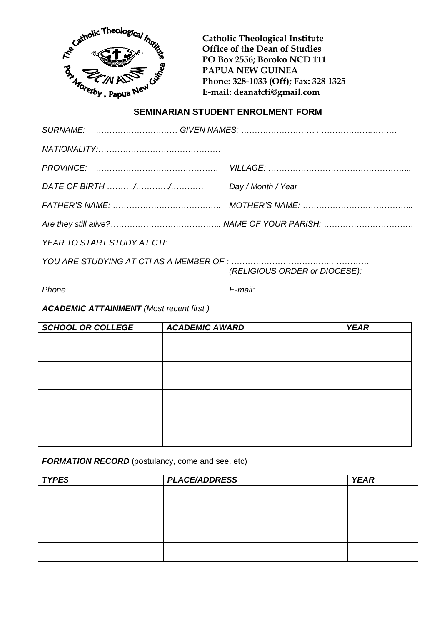

**Catholic Theological Institute PO Box 2556; Boroko NCD 111 PAPUA NEW GUINEA Phone: 328-1033 (Off); Fax: 328 1325 E-mail: deanatcti@gmail.com**

## **SEMINARIAN STUDENT ENROLMENT FORM**

| (RELIGIOUS ORDER or DIOCESE): |
|-------------------------------|
|                               |
|                               |

*ACADEMIC ATTAINMENT (Most recent first )*

| <b>SCHOOL OR COLLEGE</b> | <b>ACADEMIC AWARD</b> | <b>YEAR</b> |
|--------------------------|-----------------------|-------------|
|                          |                       |             |
|                          |                       |             |
|                          |                       |             |
|                          |                       |             |
|                          |                       |             |
|                          |                       |             |
|                          |                       |             |
|                          |                       |             |
|                          |                       |             |

*FORMATION RECORD* (postulancy, come and see, etc)

| <b>TYPES</b> | <b>PLACE/ADDRESS</b> | <b>YEAR</b> |
|--------------|----------------------|-------------|
|              |                      |             |
|              |                      |             |
|              |                      |             |
|              |                      |             |
|              |                      |             |
|              |                      |             |
|              |                      |             |
|              |                      |             |